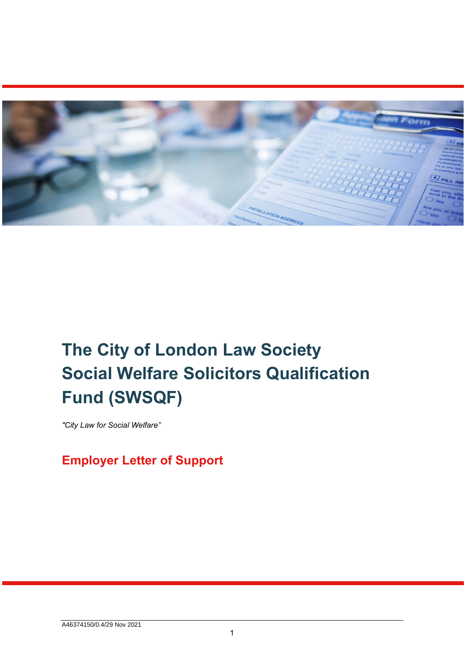

## **The City of London Law Society Social Welfare Solicitors Qualification Fund (SWSQF)**

*"City Law for Social Welfare"* 

**Employer Letter of Support**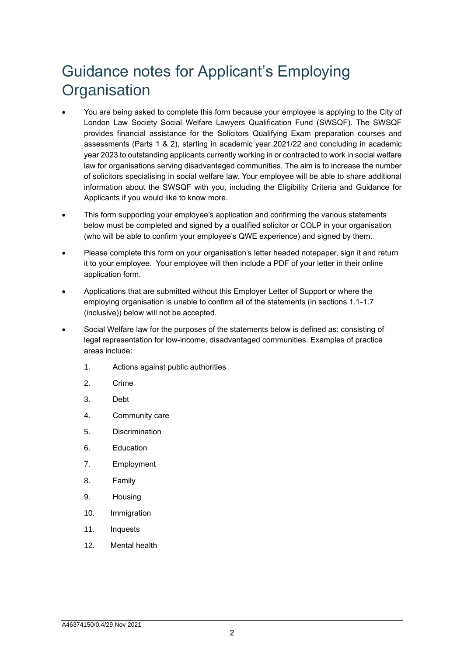## Guidance notes for Applicant's Employing **Organisation**

- You are being asked to complete this form because your employee is applying to the City of London Law Society Social Welfare Lawyers Qualification Fund (SWSQF). The SWSQF provides financial assistance for the Solicitors Qualifying Exam preparation courses and assessments (Parts 1 & 2), starting in academic year 2021/22 and concluding in academic year 2023 to outstanding applicants currently working in or contracted to work in social welfare law for organisations serving disadvantaged communities. The aim is to increase the number of solicitors specialising in social welfare law. Your employee will be able to share additional information about the SWSQF with you, including the Eligibility Criteria and Guidance for Applicants if you would like to know more.
- This form supporting your employee's application and confirming the various statements below must be completed and signed by a qualified solicitor or COLP in your organisation (who will be able to confirm your employee's QWE experience) and signed by them.
- Please complete this form on your organisation's letter headed notepaper, sign it and return it to your employee. Your employee will then include a PDF of your letter in their online application form.
- Applications that are submitted without this Employer Letter of Support or where the employing organisation is unable to confirm all of the statements (in sections 1.1-1.7 (inclusive)) below will not be accepted.
- Social Welfare law for the purposes of the statements below is defined as: consisting of legal representation for low-income, disadvantaged communities. Examples of practice areas include:
	- 1. Actions against public authorities
	- 2. Crime
	- 3. Debt
	- 4. Community care
	- 5. Discrimination
	- 6. Education
	- 7. Employment
	- 8. Family
	- 9. Housing
	- 10. Immigration
	- 11. Inquests
	- 12. Mental health